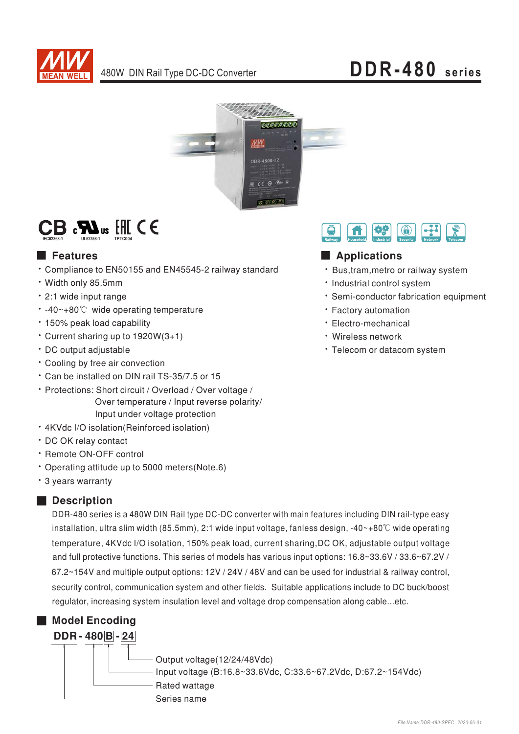



## $\mathsf{CB}$  :  $\mathbf{M}$ us  $\mathbb H$  (E

### **Executer** Features

- \* Compliance to EN50155 and EN45545-2 railway standard
- · Width only 85.5mm
- · 2:1 wide input range
- -40~+80℃ wide operating temperature
- · 150% peak load capability
- Current sharing up to 1920W(3+1)
- · DC output adjustable
- Cooling by free air convection
- \* Can be installed on DIN rail TS-35/7.5 or 15
- · Protections: Short circuit / Overload / Over voltage / Over temperature / Input reverse polarity/ Input under voltage protection
- · 4KVdc I/O isolation(Reinforced isolation)
- · DC OK relav contact
- · Remote ON-OFF control
- Operating attitude up to 5000 meters(Note.6)
- \* 3 years warranty

### Description

DDR-480 series is a 480W DIN Rail type DC-DC converter with main features including DIN rail-type easy installation, ultra slim width (85.5mm), 2:1 wide input voltage, fanless design, -40~+80°C wide operating temperature, 4KVdc I/O isolation, 150% peak load, current sharing, DC OK, adjustable output voltage and full protective functions. This series of models has various input options: 16.8~33.6V / 33.6~67.2V / 67.2~154V and multiple output options: 12V / 24V / 48V and can be used for industrial & railway control, security control, communication system and other fields. Suitable applications include to DC buck/boost regulator, increasing system insulation level and voltage drop compensation along cable...etc.



## Applications

A

盛

- · Bus, tram, metro or railway system
- · Industrial control system
- · Semi-conductor fabrication equipment

 $\bigcirc$ 

- · Factory automation
- · Electro-mechanical
- · Wireless network
- · Telecom or datacom system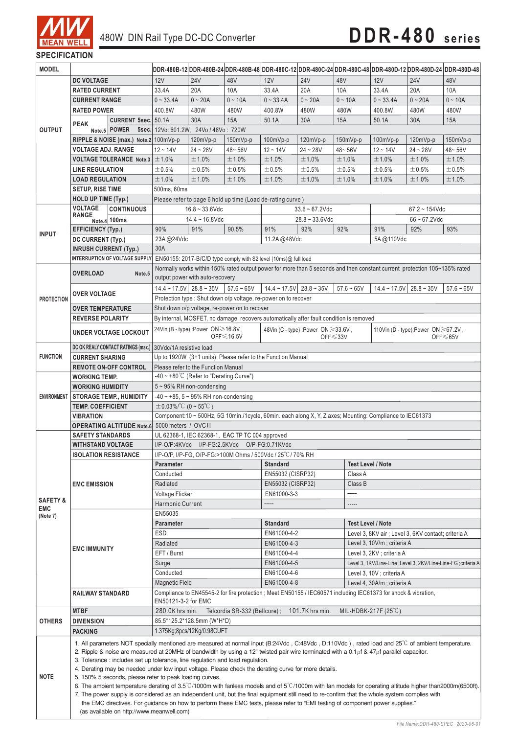

| <b>MODEL</b>                                                    |                                                                                                                                                                                                                                                                                                                                                                                                                                                                                                                                                                                                                                                                                                                                                                                                                                                                                                            |                                            |                                                                                                                                       |                                                                                                                          |                                                                                                                           |                                                                 |                                           |                                                     |                                     |                                   | DDR-480B-12 DDR-480B-24 DDR-480B-48 DDR-480C-12 DDR-480C-24 DDR-480C-48 DDR-480D-12 DDR-480D-24 DDR-480D-48 |
|-----------------------------------------------------------------|------------------------------------------------------------------------------------------------------------------------------------------------------------------------------------------------------------------------------------------------------------------------------------------------------------------------------------------------------------------------------------------------------------------------------------------------------------------------------------------------------------------------------------------------------------------------------------------------------------------------------------------------------------------------------------------------------------------------------------------------------------------------------------------------------------------------------------------------------------------------------------------------------------|--------------------------------------------|---------------------------------------------------------------------------------------------------------------------------------------|--------------------------------------------------------------------------------------------------------------------------|---------------------------------------------------------------------------------------------------------------------------|-----------------------------------------------------------------|-------------------------------------------|-----------------------------------------------------|-------------------------------------|-----------------------------------|-------------------------------------------------------------------------------------------------------------|
|                                                                 | <b>DC VOLTAGE</b>                                                                                                                                                                                                                                                                                                                                                                                                                                                                                                                                                                                                                                                                                                                                                                                                                                                                                          |                                            | 12V                                                                                                                                   | <b>24V</b>                                                                                                               | 48V                                                                                                                       | 12V                                                             | <b>24V</b>                                | 48V                                                 | 12V                                 | <b>24V</b>                        | 48V                                                                                                         |
|                                                                 | <b>RATED CURRENT</b>                                                                                                                                                                                                                                                                                                                                                                                                                                                                                                                                                                                                                                                                                                                                                                                                                                                                                       |                                            | 33.4A                                                                                                                                 | 20A                                                                                                                      | 10A                                                                                                                       | 33.4A                                                           | 20A                                       | 10A                                                 | 33.4A                               | 20A                               | 10A                                                                                                         |
|                                                                 | <b>CURRENT RANGE</b>                                                                                                                                                                                                                                                                                                                                                                                                                                                                                                                                                                                                                                                                                                                                                                                                                                                                                       |                                            | $0 - 33.4A$                                                                                                                           | $0 - 20A$                                                                                                                | $0 - 10A$                                                                                                                 | $0 - 33.4A$                                                     | $0 - 20A$                                 | $0 - 10A$                                           | $0 - 33.4A$                         | $0 - 20A$                         | $0 - 10A$                                                                                                   |
| <b>OUTPUT</b>                                                   | <b>RATED POWER</b>                                                                                                                                                                                                                                                                                                                                                                                                                                                                                                                                                                                                                                                                                                                                                                                                                                                                                         |                                            | 400.8W                                                                                                                                | 480W                                                                                                                     | 480W                                                                                                                      | 400.8W                                                          | 480W                                      | 480W                                                | 400.8W                              | 480W                              | 480W                                                                                                        |
|                                                                 | <b>PEAK</b>                                                                                                                                                                                                                                                                                                                                                                                                                                                                                                                                                                                                                                                                                                                                                                                                                                                                                                | CURRENT 5sec. 50.1A                        |                                                                                                                                       | 30A                                                                                                                      | 15A                                                                                                                       | 50.1A                                                           | 30A                                       | 15A                                                 | 50.1A                               | 30A                               | 15A                                                                                                         |
|                                                                 |                                                                                                                                                                                                                                                                                                                                                                                                                                                                                                                                                                                                                                                                                                                                                                                                                                                                                                            | Note.5 POWER                               | 5sec. 12Vo: 601.2W, 24Vo / 48Vo: 720W                                                                                                 |                                                                                                                          |                                                                                                                           |                                                                 |                                           |                                                     |                                     |                                   |                                                                                                             |
|                                                                 | RIPPLE & NOISE (max.) Note.2 100mVp-p                                                                                                                                                                                                                                                                                                                                                                                                                                                                                                                                                                                                                                                                                                                                                                                                                                                                      |                                            |                                                                                                                                       | $120mVp-p$                                                                                                               | $150mVp-p$                                                                                                                | $100mVp-p$                                                      | $120mVp-p$                                | $150mVp-p$                                          | $100mVp-p$                          | $120mVp-p$                        | $150mVp-p$                                                                                                  |
|                                                                 | <b>VOLTAGE ADJ. RANGE</b>                                                                                                                                                                                                                                                                                                                                                                                                                                                                                                                                                                                                                                                                                                                                                                                                                                                                                  |                                            | $12 - 14V$                                                                                                                            | $24 - 28V$                                                                                                               | 48~56V                                                                                                                    | $12 - 14V$                                                      | $24 - 28V$                                | 48~56V                                              | $12 - 14V$                          | $24 - 28V$                        | 48~56V                                                                                                      |
|                                                                 |                                                                                                                                                                                                                                                                                                                                                                                                                                                                                                                                                                                                                                                                                                                                                                                                                                                                                                            | <b>VOLTAGE TOLERANCE Note.3</b> $\pm$ 1.0% |                                                                                                                                       | ±1.0%                                                                                                                    | ±1.0%                                                                                                                     | ±1.0%                                                           | ±1.0%                                     | ±1.0%                                               | ±1.0%                               | ±1.0%                             | ±1.0%                                                                                                       |
|                                                                 | <b>LINE REGULATION</b>                                                                                                                                                                                                                                                                                                                                                                                                                                                                                                                                                                                                                                                                                                                                                                                                                                                                                     |                                            | $\pm 0.5\%$                                                                                                                           | ±0.5%                                                                                                                    | ±0.5%                                                                                                                     | ±0.5%                                                           | ±0.5%                                     | ±0.5%                                               | ±0.5%                               | ±0.5%                             | ±0.5%                                                                                                       |
|                                                                 | <b>LOAD REGULATION</b>                                                                                                                                                                                                                                                                                                                                                                                                                                                                                                                                                                                                                                                                                                                                                                                                                                                                                     |                                            | ±1.0%                                                                                                                                 | ±1.0%                                                                                                                    | ±1.0%                                                                                                                     | ±1.0%                                                           | ±1.0%                                     | ±1.0%                                               | ±1.0%                               | ±1.0%                             | ±1.0%                                                                                                       |
| <b>SETUP, RISE TIME</b>                                         |                                                                                                                                                                                                                                                                                                                                                                                                                                                                                                                                                                                                                                                                                                                                                                                                                                                                                                            | 500ms, 60ms                                |                                                                                                                                       |                                                                                                                          |                                                                                                                           |                                                                 |                                           |                                                     |                                     |                                   |                                                                                                             |
|                                                                 | <b>HOLD UP TIME (Typ.)</b><br><b>VOLTAGE</b>                                                                                                                                                                                                                                                                                                                                                                                                                                                                                                                                                                                                                                                                                                                                                                                                                                                               |                                            |                                                                                                                                       | Please refer to page 6 hold up time (Load de-rating curve)<br>$33.6 - 67.2$ Vdc<br>$16.8 - 33.6$ Vdc<br>$67.2 - 154$ Vdc |                                                                                                                           |                                                                 |                                           |                                                     |                                     |                                   |                                                                                                             |
|                                                                 | <b>RANGE</b>                                                                                                                                                                                                                                                                                                                                                                                                                                                                                                                                                                                                                                                                                                                                                                                                                                                                                               | <b>CONTINUOUS</b>                          |                                                                                                                                       | $14.4 - 16.8$ Vdc                                                                                                        |                                                                                                                           |                                                                 |                                           |                                                     |                                     |                                   |                                                                                                             |
|                                                                 | <b>EFFICIENCY (Typ.)</b>                                                                                                                                                                                                                                                                                                                                                                                                                                                                                                                                                                                                                                                                                                                                                                                                                                                                                   | Note.4 100ms                               | 90%                                                                                                                                   | 91%                                                                                                                      | 90.5%                                                                                                                     | 91%                                                             | $28.8 - 33.6$ Vdc<br>92%                  | 92%                                                 | 91%                                 | $66 - 67.2$ Vdc<br>92%            | 93%                                                                                                         |
| <b>INPUT</b>                                                    |                                                                                                                                                                                                                                                                                                                                                                                                                                                                                                                                                                                                                                                                                                                                                                                                                                                                                                            |                                            | 23A@24Vdc                                                                                                                             |                                                                                                                          |                                                                                                                           | 11.2A@48Vdc                                                     |                                           |                                                     | 5A@110Vdc                           |                                   |                                                                                                             |
|                                                                 | DC CURRENT (Typ.)<br><b>INRUSH CURRENT (Typ.)</b>                                                                                                                                                                                                                                                                                                                                                                                                                                                                                                                                                                                                                                                                                                                                                                                                                                                          |                                            | 30A                                                                                                                                   |                                                                                                                          |                                                                                                                           |                                                                 |                                           |                                                     |                                     |                                   |                                                                                                             |
|                                                                 |                                                                                                                                                                                                                                                                                                                                                                                                                                                                                                                                                                                                                                                                                                                                                                                                                                                                                                            | INTERRUPTION OF VOLTAGE SUPPLY             |                                                                                                                                       |                                                                                                                          | EN50155: 2017-B/C/D type comply with S2 level (10ms)@ full load                                                           |                                                                 |                                           |                                                     |                                     |                                   |                                                                                                             |
|                                                                 |                                                                                                                                                                                                                                                                                                                                                                                                                                                                                                                                                                                                                                                                                                                                                                                                                                                                                                            |                                            |                                                                                                                                       |                                                                                                                          | Normally works within 150% rated output power for more than 5 seconds and then constant current protection 105~135% rated |                                                                 |                                           |                                                     |                                     |                                   |                                                                                                             |
|                                                                 | <b>OVERLOAD</b>                                                                                                                                                                                                                                                                                                                                                                                                                                                                                                                                                                                                                                                                                                                                                                                                                                                                                            | Note.5                                     |                                                                                                                                       | output power with auto-recovery                                                                                          |                                                                                                                           |                                                                 |                                           |                                                     |                                     |                                   |                                                                                                             |
|                                                                 |                                                                                                                                                                                                                                                                                                                                                                                                                                                                                                                                                                                                                                                                                                                                                                                                                                                                                                            |                                            | $14.4 \sim 17.5 \text{V}$ 28.8 ~ 35V                                                                                                  |                                                                                                                          | $57.6 - 65V$                                                                                                              | $14.4 - 17.5V$                                                  | $28.8 - 35V$                              | $57.6 - 65V$                                        | $14.4 \sim 17.5$ V $28.8 \sim 35$ V |                                   | $57.6 - 65V$                                                                                                |
| <b>PROTECTION</b>                                               | <b>OVER VOLTAGE</b>                                                                                                                                                                                                                                                                                                                                                                                                                                                                                                                                                                                                                                                                                                                                                                                                                                                                                        |                                            |                                                                                                                                       |                                                                                                                          | Protection type : Shut down o/p voltage, re-power on to recover                                                           |                                                                 |                                           |                                                     |                                     |                                   |                                                                                                             |
|                                                                 | <b>OVER TEMPERATURE</b>                                                                                                                                                                                                                                                                                                                                                                                                                                                                                                                                                                                                                                                                                                                                                                                                                                                                                    |                                            |                                                                                                                                       |                                                                                                                          | Shut down o/p voltage, re-power on to recover                                                                             |                                                                 |                                           |                                                     |                                     |                                   |                                                                                                             |
|                                                                 | <b>REVERSE POLARITY</b>                                                                                                                                                                                                                                                                                                                                                                                                                                                                                                                                                                                                                                                                                                                                                                                                                                                                                    |                                            |                                                                                                                                       |                                                                                                                          | By internal, MOSFET, no damage, recovers automatically after fault condition is removed                                   |                                                                 |                                           |                                                     |                                     |                                   |                                                                                                             |
|                                                                 | <b>UNDER VOLTAGE LOCKOUT</b>                                                                                                                                                                                                                                                                                                                                                                                                                                                                                                                                                                                                                                                                                                                                                                                                                                                                               |                                            |                                                                                                                                       | 24Vin (B - type) : Power ON ≥ 16.8V,                                                                                     |                                                                                                                           |                                                                 | 48Vin (C - type) : Power ON $\geq$ 33.6V, |                                                     |                                     | 110Vin (D - type):Power ON≥67.2V, |                                                                                                             |
|                                                                 |                                                                                                                                                                                                                                                                                                                                                                                                                                                                                                                                                                                                                                                                                                                                                                                                                                                                                                            |                                            |                                                                                                                                       | $OFF \le 16.5V$<br>$OFF \le 65V$<br>$OFF \leq 33V$                                                                       |                                                                                                                           |                                                                 |                                           |                                                     |                                     |                                   |                                                                                                             |
| <b>FUNCTION</b>                                                 |                                                                                                                                                                                                                                                                                                                                                                                                                                                                                                                                                                                                                                                                                                                                                                                                                                                                                                            |                                            | DC OK REALY CONTACT RATINGS (max.) 30Vdc/1A resistive load                                                                            |                                                                                                                          |                                                                                                                           |                                                                 |                                           |                                                     |                                     |                                   |                                                                                                             |
|                                                                 | <b>CURRENT SHARING</b><br><b>REMOTE ON-OFF CONTROL</b>                                                                                                                                                                                                                                                                                                                                                                                                                                                                                                                                                                                                                                                                                                                                                                                                                                                     |                                            | Up to 1920W (3+1 units). Please refer to the Function Manual<br>Please refer to the Function Manual                                   |                                                                                                                          |                                                                                                                           |                                                                 |                                           |                                                     |                                     |                                   |                                                                                                             |
|                                                                 | <b>WORKING TEMP.</b>                                                                                                                                                                                                                                                                                                                                                                                                                                                                                                                                                                                                                                                                                                                                                                                                                                                                                       |                                            | -40 $\sim$ +80°C (Refer to "Derating Curve")                                                                                          |                                                                                                                          |                                                                                                                           |                                                                 |                                           |                                                     |                                     |                                   |                                                                                                             |
|                                                                 | <b>WORKING HUMIDITY</b>                                                                                                                                                                                                                                                                                                                                                                                                                                                                                                                                                                                                                                                                                                                                                                                                                                                                                    | $5 \sim 95\%$ RH non-condensing            |                                                                                                                                       |                                                                                                                          |                                                                                                                           |                                                                 |                                           |                                                     |                                     |                                   |                                                                                                             |
| ENVIRONMENT                                                     |                                                                                                                                                                                                                                                                                                                                                                                                                                                                                                                                                                                                                                                                                                                                                                                                                                                                                                            | <b>STORAGE TEMP., HUMIDITY</b>             | $-40 \sim +85$ , 5 ~ 95% RH non-condensing                                                                                            |                                                                                                                          |                                                                                                                           |                                                                 |                                           |                                                     |                                     |                                   |                                                                                                             |
|                                                                 | <b>TEMP. COEFFICIENT</b>                                                                                                                                                                                                                                                                                                                                                                                                                                                                                                                                                                                                                                                                                                                                                                                                                                                                                   |                                            | $\pm$ 0.03%/°C (0 ~ 55°C)                                                                                                             |                                                                                                                          |                                                                                                                           |                                                                 |                                           |                                                     |                                     |                                   |                                                                                                             |
|                                                                 | <b>VIBRATION</b>                                                                                                                                                                                                                                                                                                                                                                                                                                                                                                                                                                                                                                                                                                                                                                                                                                                                                           |                                            | Component: 10 ~ 500Hz, 5G 10min./1cycle, 60min. each along X, Y, Z axes; Mounting: Compliance to IEC61373                             |                                                                                                                          |                                                                                                                           |                                                                 |                                           |                                                     |                                     |                                   |                                                                                                             |
|                                                                 | <b>OPERATING ALTITUDE Note.6</b> 5000 meters / OVCII                                                                                                                                                                                                                                                                                                                                                                                                                                                                                                                                                                                                                                                                                                                                                                                                                                                       |                                            |                                                                                                                                       |                                                                                                                          |                                                                                                                           |                                                                 |                                           |                                                     |                                     |                                   |                                                                                                             |
|                                                                 | <b>SAFETY STANDARDS</b>                                                                                                                                                                                                                                                                                                                                                                                                                                                                                                                                                                                                                                                                                                                                                                                                                                                                                    |                                            | UL 62368-1, IEC 62368-1, EAC TP TC 004 approved                                                                                       |                                                                                                                          |                                                                                                                           |                                                                 |                                           |                                                     |                                     |                                   |                                                                                                             |
|                                                                 | <b>WITHSTAND VOLTAGE</b>                                                                                                                                                                                                                                                                                                                                                                                                                                                                                                                                                                                                                                                                                                                                                                                                                                                                                   |                                            | I/P-O/P:4KVdc I/P-FG:2.5KVdc O/P-FG:0.71KVdc<br>I/P-O/P, I/P-FG, O/P-FG:>100M Ohms / 500Vdc / 25 °C / 70% RH                          |                                                                                                                          |                                                                                                                           |                                                                 |                                           |                                                     |                                     |                                   |                                                                                                             |
|                                                                 | <b>ISOLATION RESISTANCE</b>                                                                                                                                                                                                                                                                                                                                                                                                                                                                                                                                                                                                                                                                                                                                                                                                                                                                                |                                            |                                                                                                                                       |                                                                                                                          |                                                                                                                           | <b>Standard</b>                                                 |                                           | <b>Test Level / Note</b>                            |                                     |                                   |                                                                                                             |
|                                                                 | <b>EMC EMISSION</b><br><b>EMC IMMUNITY</b>                                                                                                                                                                                                                                                                                                                                                                                                                                                                                                                                                                                                                                                                                                                                                                                                                                                                 |                                            | Parameter<br>Conducted                                                                                                                |                                                                                                                          |                                                                                                                           |                                                                 |                                           | Class A                                             |                                     |                                   |                                                                                                             |
|                                                                 |                                                                                                                                                                                                                                                                                                                                                                                                                                                                                                                                                                                                                                                                                                                                                                                                                                                                                                            |                                            | EN55032 (CISRP32)<br>EN55032 (CISRP32)<br>Radiated<br>Class B                                                                         |                                                                                                                          |                                                                                                                           |                                                                 |                                           |                                                     |                                     |                                   |                                                                                                             |
|                                                                 |                                                                                                                                                                                                                                                                                                                                                                                                                                                                                                                                                                                                                                                                                                                                                                                                                                                                                                            |                                            | -----<br><b>Voltage Flicker</b><br>EN61000-3-3                                                                                        |                                                                                                                          |                                                                                                                           |                                                                 |                                           |                                                     |                                     |                                   |                                                                                                             |
| <b>SAFETY &amp;</b>                                             |                                                                                                                                                                                                                                                                                                                                                                                                                                                                                                                                                                                                                                                                                                                                                                                                                                                                                                            |                                            | <b>Harmonic Current</b>                                                                                                               |                                                                                                                          |                                                                                                                           | -----                                                           |                                           | -----                                               |                                     |                                   |                                                                                                             |
| <b>EMC</b><br>(Note 7)                                          |                                                                                                                                                                                                                                                                                                                                                                                                                                                                                                                                                                                                                                                                                                                                                                                                                                                                                                            |                                            | EN55035                                                                                                                               |                                                                                                                          |                                                                                                                           |                                                                 |                                           |                                                     |                                     |                                   |                                                                                                             |
|                                                                 |                                                                                                                                                                                                                                                                                                                                                                                                                                                                                                                                                                                                                                                                                                                                                                                                                                                                                                            |                                            | Parameter                                                                                                                             |                                                                                                                          | <b>Standard</b>                                                                                                           |                                                                 | <b>Test Level / Note</b>                  |                                                     |                                     |                                   |                                                                                                             |
|                                                                 |                                                                                                                                                                                                                                                                                                                                                                                                                                                                                                                                                                                                                                                                                                                                                                                                                                                                                                            |                                            | <b>ESD</b>                                                                                                                            |                                                                                                                          | EN61000-4-2                                                                                                               |                                                                 |                                           | Level 3, 8KV air ; Level 3, 6KV contact; criteria A |                                     |                                   |                                                                                                             |
|                                                                 |                                                                                                                                                                                                                                                                                                                                                                                                                                                                                                                                                                                                                                                                                                                                                                                                                                                                                                            |                                            | Radiated                                                                                                                              |                                                                                                                          | EN61000-4-3                                                                                                               |                                                                 | Level 3, 10V/m; criteria A                |                                                     |                                     |                                   |                                                                                                             |
|                                                                 |                                                                                                                                                                                                                                                                                                                                                                                                                                                                                                                                                                                                                                                                                                                                                                                                                                                                                                            |                                            | EFT / Burst                                                                                                                           |                                                                                                                          | EN61000-4-4                                                                                                               | Level 3, 2KV ; criteria A                                       |                                           |                                                     |                                     |                                   |                                                                                                             |
|                                                                 |                                                                                                                                                                                                                                                                                                                                                                                                                                                                                                                                                                                                                                                                                                                                                                                                                                                                                                            |                                            | Surge                                                                                                                                 |                                                                                                                          | EN61000-4-5                                                                                                               | Level 3, 1KV/Line-Line ; Level 3, 2KV/Line-Line-FG ; criteria A |                                           |                                                     |                                     |                                   |                                                                                                             |
|                                                                 |                                                                                                                                                                                                                                                                                                                                                                                                                                                                                                                                                                                                                                                                                                                                                                                                                                                                                                            |                                            | Conducted<br>EN61000-4-6<br>Level 3, 10V ; criteria A                                                                                 |                                                                                                                          |                                                                                                                           |                                                                 |                                           |                                                     |                                     |                                   |                                                                                                             |
|                                                                 |                                                                                                                                                                                                                                                                                                                                                                                                                                                                                                                                                                                                                                                                                                                                                                                                                                                                                                            |                                            | <b>Magnetic Field</b><br>EN61000-4-8<br>Level 4, 30A/m; criteria A                                                                    |                                                                                                                          |                                                                                                                           |                                                                 |                                           |                                                     |                                     |                                   |                                                                                                             |
|                                                                 | <b>RAILWAY STANDARD</b>                                                                                                                                                                                                                                                                                                                                                                                                                                                                                                                                                                                                                                                                                                                                                                                                                                                                                    |                                            | Compliance to EN45545-2 for fire protection; Meet EN50155 / IEC60571 including IEC61373 for shock & vibration,<br>EN50121-3-2 for EMC |                                                                                                                          |                                                                                                                           |                                                                 |                                           |                                                     |                                     |                                   |                                                                                                             |
|                                                                 | <b>MTBF</b>                                                                                                                                                                                                                                                                                                                                                                                                                                                                                                                                                                                                                                                                                                                                                                                                                                                                                                |                                            | 101.7K hrs min.<br>280.0K hrs min.<br>Telcordia SR-332 (Bellcore);<br>MIL-HDBK-217F $(25^{\circ}C)$                                   |                                                                                                                          |                                                                                                                           |                                                                 |                                           |                                                     |                                     |                                   |                                                                                                             |
| <b>OTHERS</b><br>85.5*125.2*128.5mm (W*H*D)<br><b>DIMENSION</b> |                                                                                                                                                                                                                                                                                                                                                                                                                                                                                                                                                                                                                                                                                                                                                                                                                                                                                                            |                                            |                                                                                                                                       |                                                                                                                          |                                                                                                                           |                                                                 |                                           |                                                     |                                     |                                   |                                                                                                             |
|                                                                 | <b>PACKING</b>                                                                                                                                                                                                                                                                                                                                                                                                                                                                                                                                                                                                                                                                                                                                                                                                                                                                                             |                                            | 1.375Kg;8pcs/12Kg/0.98CUFT                                                                                                            |                                                                                                                          |                                                                                                                           |                                                                 |                                           |                                                     |                                     |                                   |                                                                                                             |
| <b>NOTE</b>                                                     | 1. All parameters NOT specially mentioned are measured at normal input (B:24Vdc, C:48Vdc, D:110Vdc), rated load and 25 <sup>°</sup> C of ambient temperature.<br>2. Ripple & noise are measured at 20MHz of bandwidth by using a 12" twisted pair-wire terminated with a $0.1\mu$ f & $47\mu$ f parallel capacitor.<br>3. Tolerance: includes set up tolerance, line regulation and load regulation.<br>4. Derating may be needed under low input voltage. Please check the derating curve for more details.<br>5. 150% 5 seconds, please refer to peak loading curves.<br>6. The ambient temperature derating of $3.5^{\circ}$ C/1000m with fanless models and of $5^{\circ}$ C/1000m with fan models for operating altitude higher than 2000m(6500ft).<br>7. The power supply is considered as an independent unit, but the final equipment still need to re-confirm that the whole system complies with |                                            |                                                                                                                                       |                                                                                                                          |                                                                                                                           |                                                                 |                                           |                                                     |                                     |                                   |                                                                                                             |
|                                                                 | the EMC directives. For guidance on how to perform these EMC tests, please refer to "EMI testing of component power supplies."<br>(as available on http://www.meanwell.com)                                                                                                                                                                                                                                                                                                                                                                                                                                                                                                                                                                                                                                                                                                                                |                                            |                                                                                                                                       |                                                                                                                          |                                                                                                                           |                                                                 |                                           |                                                     |                                     |                                   |                                                                                                             |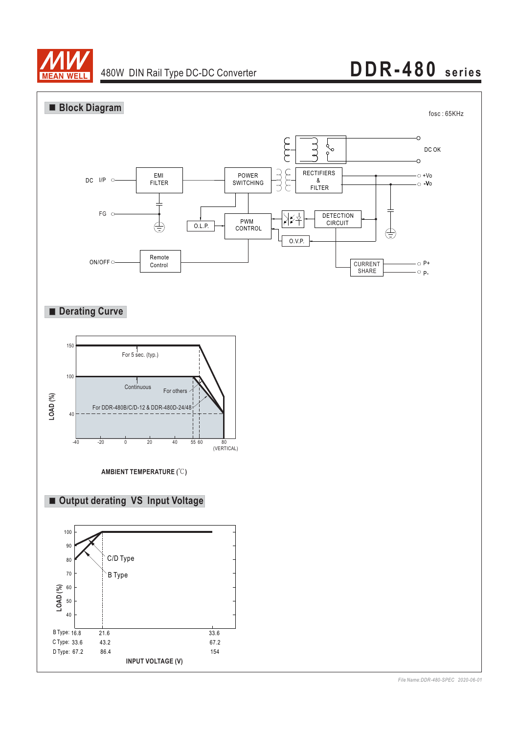

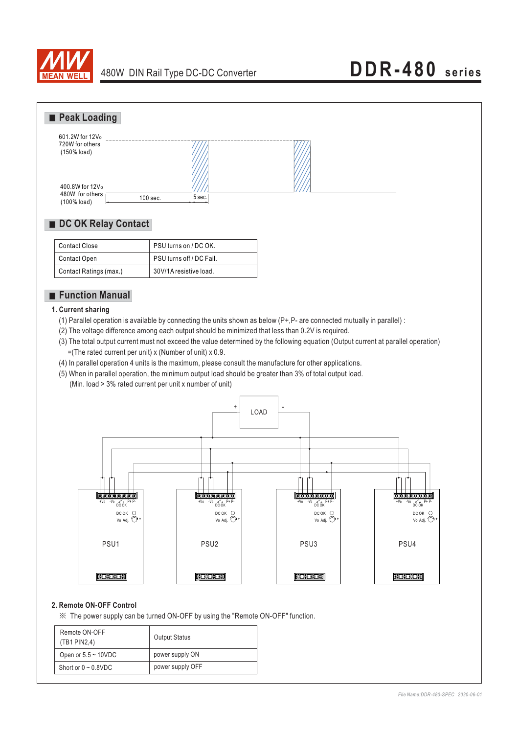



### ■ DC OK Relay Contact

| Contact Close          | PSU turns on / DC OK.    |
|------------------------|--------------------------|
| Contact Open           | PSU turns off / DC Fail. |
| Contact Ratings (max.) | 30V/1A resistive load.   |

### **Function Manual**

#### **1. Current sharing**

- (1) Parallel operation is available by connecting the units shown as below  $(P+P-$  are connected mutually in parallel) :
- (2) The voltage difference among each output should be minimized that less than 0.2V is required.
- (3) The total output current must not exceed the value determined by the following equation (Output current at parallel operation)  $=($ The rated current per unit) x (Number of unit) x 0.9.
- (4) In parallel operation 4 units is the maximum, please consult the manufacture for other applications.
- (5) When in parallel operation, the minimum output load should be greater than 3% of total output load.
	- (Min. load > 3% rated current per unit x number of unit)



#### **2. Remote ON-OFF Control**

※ The power supply can be turned ON-OFF by using the "Remote ON-OFF" function.

| Remote ON-OFF<br>(TB1 PIN2,4) | <b>Output Status</b> |
|-------------------------------|----------------------|
| Open or $5.5 \sim 10$ VDC     | power supply ON      |
| Short or $0 \sim 0.8$ VDC     | power supply OFF     |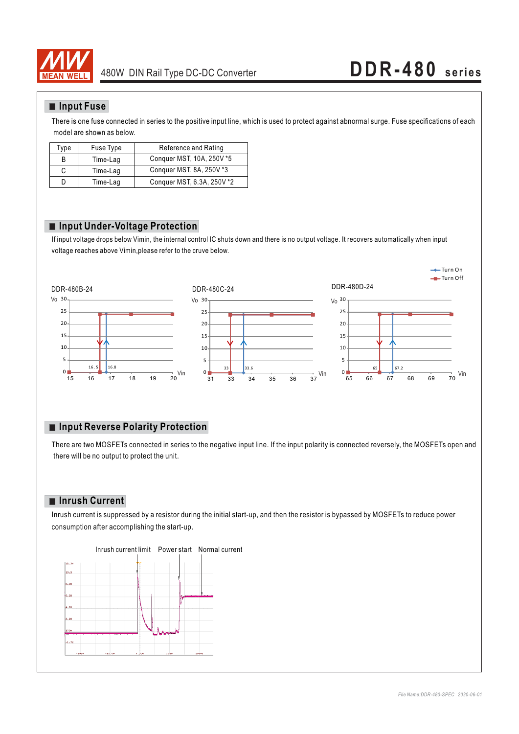

#### **Input Fuse**

There is one fuse connected in series to the positive input line, which is used to protect against abnormal surge. Fuse specifications of each model are shown as below.

| Type | Fuse Type | Reference and Rating       |
|------|-----------|----------------------------|
| B    | Time-Lag  | Conquer MST, 10A, 250V *5  |
| С    | Time-Lag  | Conquer MST, 8A, 250V *3   |
| D    | Time-Lag  | Conquer MST, 6.3A, 250V *2 |

#### **Input Under-Voltage Protection**

If input voltage drops below Vimin, the internal control IC shuts down and there is no output voltage. It recovers automatically when input voltage reaches above Vimin,please refer to the cruve below.



### **Input Reverse Polarity Protection**

There are two MOSFETs connected in series to the negative input line. If the input polarity is connected reversely, the MOSFETs open and there will be no output to protect the unit.

#### **Inrush Current**

Inrush current is suppressed by a resistor during the initial start-up, and then the resistor is bypassed by MOSFETs to reduce power consumption after accomplishing the start-up.



#### Inrush current limit Power start Normal current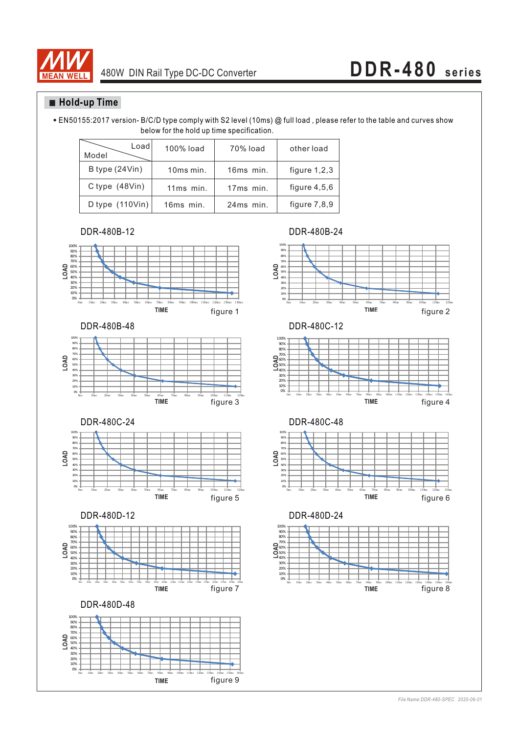

### **Hold-up Time**

EN50155:2017 version- B/C/D type comply with S2 level (10ms) @ full load , please refer to the table and curves show below for the hold up time specification.

| Loadl<br>Model                    | 100% load   | 70% load  | other load     |
|-----------------------------------|-------------|-----------|----------------|
| B type (24Vin)                    | 10ms min.   | 16ms min. | figure $1,2,3$ |
| C type $(48Vin)$                  | $11ms$ min. | 17ms min. | figure $4,5,6$ |
| D type $(110 \text{V} \text{in})$ | 16ms min.   | 24ms min. | figure $7,8,9$ |

DDR-480B-12











DDR-480B-24









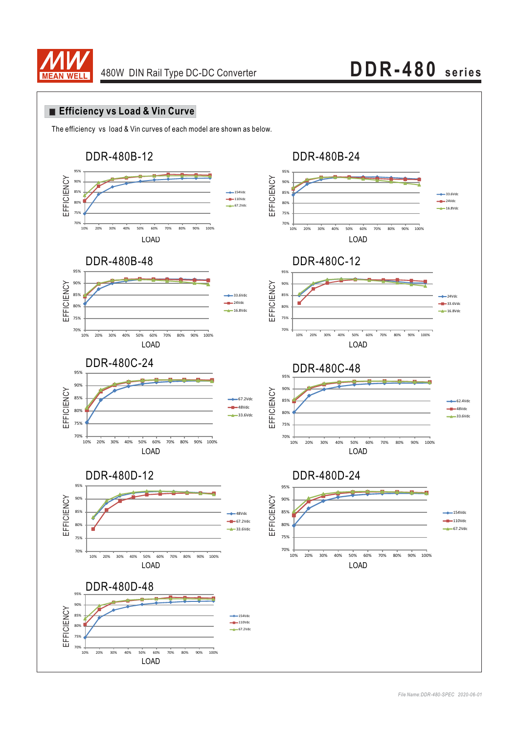

### **Efficiency vs Load & Vin Curve**

The efficiency vs load & Vin curves of each model are shown as below.

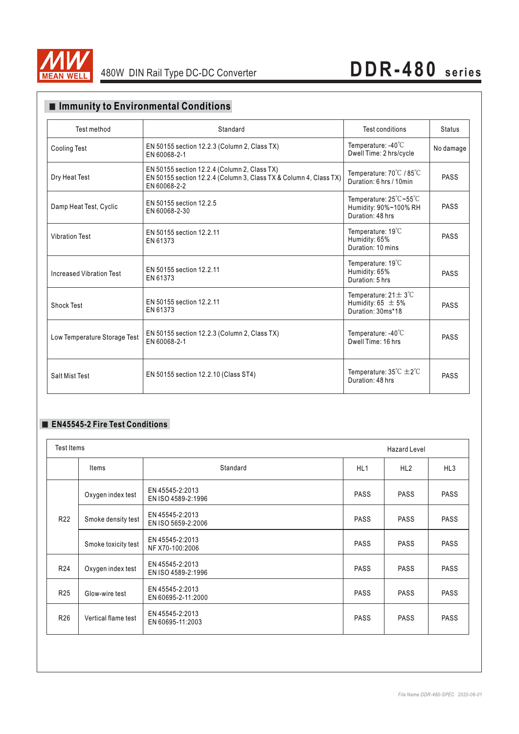

## 480W DIN Rail Type DC-DC Converter **DDR-480 series**

## **Immunity to Environmental Conditions**

| Test method                  | Standard                                                                                                                          | Test conditions                                                                 | <b>Status</b> |
|------------------------------|-----------------------------------------------------------------------------------------------------------------------------------|---------------------------------------------------------------------------------|---------------|
| <b>Cooling Test</b>          | EN 50155 section 12.2.3 (Column 2, Class TX)<br>EN 60068-2-1                                                                      | Temperature: $-40^{\circ}$ C<br>Dwell Time: 2 hrs/cycle                         | No damage     |
| Dry Heat Test                | EN 50155 section 12.2.4 (Column 2, Class TX)<br>EN 50155 section 12.2.4 (Column 3, Class TX & Column 4, Class TX)<br>EN 60068-2-2 | Temperature: 70°C / 85°C<br>Duration: 6 hrs / 10min                             | <b>PASS</b>   |
| Damp Heat Test, Cyclic       | EN 50155 section 12.2.5<br>EN 60068-2-30                                                                                          | Temperature: 25°C~55°C<br>Humidity: 90%~100% RH<br>Duration: 48 hrs             | <b>PASS</b>   |
| <b>Vibration Test</b>        | EN 50155 section 12.2.11<br>EN 61373                                                                                              | Temperature: $19^{\circ}$ C<br>Humidity: 65%<br>Duration: 10 mins               | PASS          |
| Increased Vibration Test     | EN 50155 section 12.2.11<br>EN 61373                                                                                              | Temperature: $19^{\circ}$ C<br>Humidity: 65%<br>Duration: 5 hrs.                | PASS          |
| Shock Test                   | EN 50155 section 12.2.11<br>EN 61373                                                                                              | Temperature: $21 \pm 3^{\circ}$ C<br>Humidity: 65 $\pm$ 5%<br>Duration: 30ms*18 | <b>PASS</b>   |
| Low Temperature Storage Test | EN 50155 section 12.2.3 (Column 2, Class TX)<br>EN 60068-2-1                                                                      | Temperature: $-40^{\circ}$ C<br>Dwell Time: 16 hrs                              | PASS          |
| Salt Mist Test               | EN 50155 section 12.2.10 (Class ST4)                                                                                              | Temperature: $35^{\circ}C \pm 2^{\circ}C$<br>Duration: 48 hrs                   | PASS          |

#### **EN45545-2 Fire Test Conditions**

| Test Items          | <b>Hazard Level</b>                   |                 |             |                 |
|---------------------|---------------------------------------|-----------------|-------------|-----------------|
| Items               | Standard                              | HL <sub>1</sub> | HL2         | HL <sub>3</sub> |
| Oxygen index test   | EN 45545-2:2013<br>EN ISO 4589-2:1996 | <b>PASS</b>     | <b>PASS</b> | <b>PASS</b>     |
| Smoke density test  | EN 45545-2:2013<br>EN ISO 5659-2:2006 | <b>PASS</b>     | <b>PASS</b> | <b>PASS</b>     |
| Smoke toxicity test | EN 45545-2:2013<br>NF X70-100:2006    | <b>PASS</b>     | <b>PASS</b> | <b>PASS</b>     |
| Oxygen index test   | EN 45545-2:2013<br>EN ISO 4589-2:1996 | <b>PASS</b>     | <b>PASS</b> | <b>PASS</b>     |
| Glow-wire test      | EN 45545-2:2013<br>EN 60695-2-11:2000 | <b>PASS</b>     | <b>PASS</b> | <b>PASS</b>     |
| Vertical flame test | EN 45545-2:2013<br>EN 60695-11:2003   | <b>PASS</b>     | <b>PASS</b> | <b>PASS</b>     |
|                     |                                       |                 |             |                 |